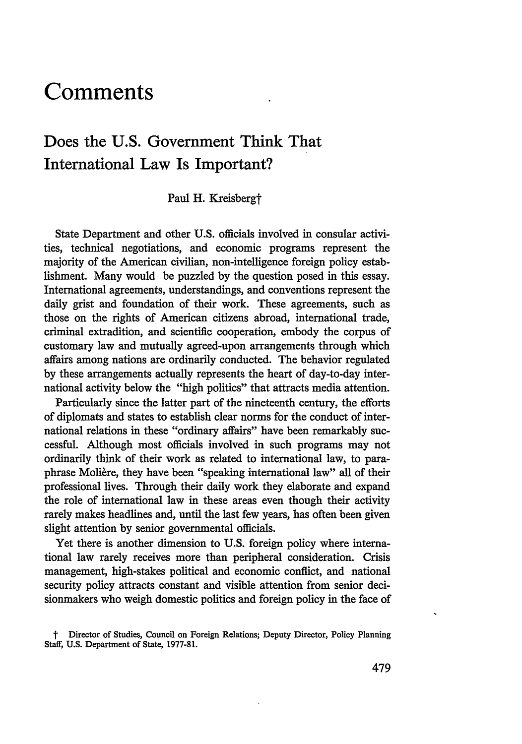# **Comments**

# Does the **U.S.** Government Think That International Law Is Important?

Paul H. Kreisbergt

State Department and other U.S. officials involved in consular activities, technical negotiations, and economic programs represent the majority of the American civilian, non-intelligence foreign policy establishment. Many would be puzzled by the question posed in this essay. International agreements, understandings, and conventions represent the daily grist and foundation of their work. These agreements, such as those on the rights of American citizens abroad, international trade, criminal extradition, and scientific cooperation, embody the corpus of customary law and mutually agreed-upon arrangements through which affairs among nations are ordinarily conducted. The behavior regulated by these arrangements actually represents the heart of day-to-day international activity below the "high politics" that attracts media attention.

Particularly since the latter part of the nineteenth century, the efforts of diplomats and states to establish clear norms for the conduct of international relations in these "ordinary affairs" have been remarkably successful. Although most officials involved in such programs may not ordinarily think of their work as related to international law, to paraphrase Moliere, they have been "speaking international law" all of their professional lives. Through their daily work they elaborate and expand the role of international law in these areas even though their activity rarely makes headlines and, until the last few years, has often been given slight attention by senior governmental officials.

Yet there is another dimension to U.S. foreign policy where international law rarely receives more than peripheral consideration. Crisis management, high-stakes political and economic conflict, and national security policy attracts constant and visible attention from senior decisionmakers who weigh domestic politics and foreign policy in the face of

t Director of Studies, Council on Foreign Relations; Deputy Director, Policy Planning Staff, U.S. Department of State, 1977-81.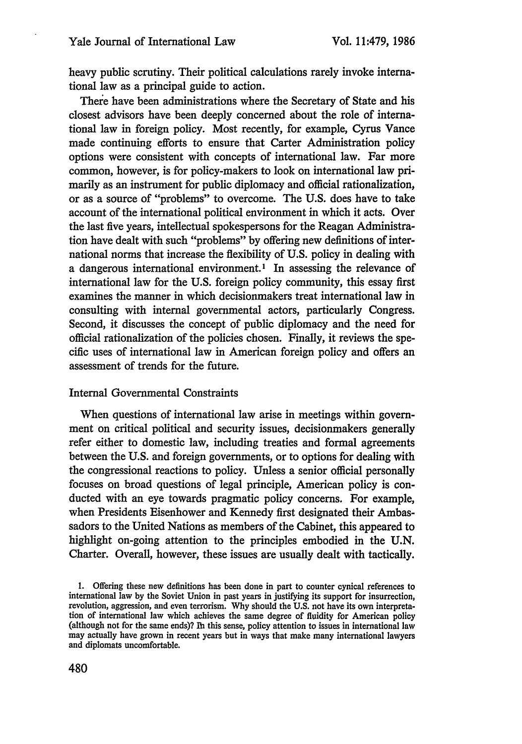heavy public scrutiny. Their political calculations rarely invoke international law as a principal guide to action.

There have been administrations where the Secretary of State and his closest advisors have been deeply concerned about the role of international law in foreign policy. Most recently, for example, Cyrus Vance made continuing efforts to ensure that Carter Administration policy options were consistent with concepts of international law. Far more common, however, is for policy-makers to look on international law primarily as an instrument for public diplomacy and official rationalization, or as a source of "problems" to overcome. The U.S. does have to take account of the international political environment in which it acts. Over the last five years, intellectual spokespersons for the Reagan Administration have dealt with such "problems" by offering new definitions of international norms that increase the flexibility of U.S. policy in dealing with a dangerous international environment.' In assessing the relevance of international law for the U.S. foreign policy community, this essay first examines the manner in which decisionmakers treat international law in consulting with internal governmental actors, particularly Congress. Second, it discusses the concept of public diplomacy and the need for official rationalization of the policies chosen. Finally, it reviews the specific uses of international law in American foreign policy and offers an assessment of trends for the future.

### Internal Governmental Constraints

When questions of international law arise in meetings within government on critical political and security issues, decisionmakers generally refer either to domestic law, including treaties and formal agreements between the U.S. and foreign governments, or to options for dealing with the congressional reactions to policy. Unless a senior official personally focuses on broad questions of legal principle, American policy is conducted with an eye towards pragmatic policy concerns. For example, when Presidents Eisenhower and Kennedy first designated their Ambassadors to the United Nations as members of the Cabinet, this appeared to highlight on-going attention to the principles embodied in the U.N. Charter. Overall, however, these issues are usually dealt with tactically.

<sup>1.</sup> Offering these new definitions has been done in part to counter cynical references to international law by the Soviet Union in past years in justifying its support for insurrection, revolution, aggression, and even terrorism. Why should the U.S. not have its own interpretation of international law which achieves the same degree of fluidity for American policy (although not for the same ends)? lh this sense, policy attention to issues in international law may actually have grown in recent years but in ways that make many international lawyers and diplomats uncomfortable.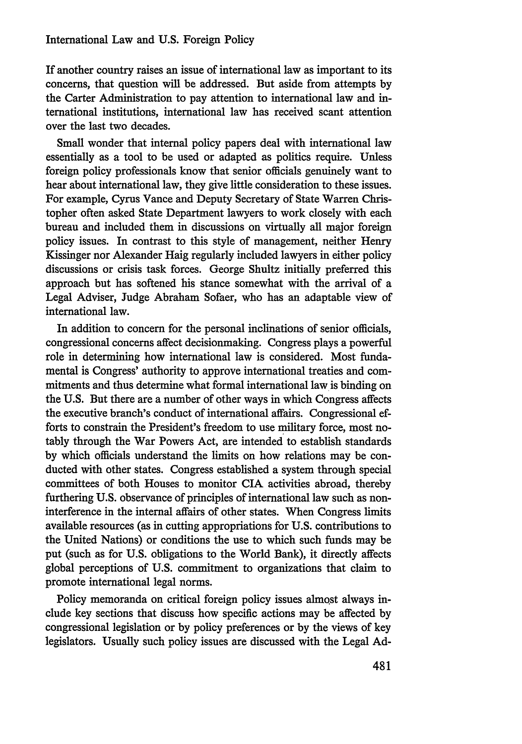If another country raises an issue of international law as important to its concerns, that question will be addressed. But aside from attempts by the Carter Administration to pay attention to international law and international institutions, international law has received scant attention over the last two decades.

Small wonder that internal policy papers deal with international law essentially as a tool to be used or adapted as politics require. Unless foreign policy professionals know that senior officials genuinely want to hear about international law, they give little consideration to these issues. For example, Cyrus Vance and Deputy Secretary of State Warren Christopher often asked State Department lawyers to work closely with each bureau and included them in discussions on virtually all major foreign policy issues. In contrast to this style of management, neither Henry Kissinger nor Alexander Haig regularly included lawyers in either policy discussions or crisis task forces. George Shultz initially preferred this approach but has softened his stance somewhat with the arrival of a Legal Adviser, Judge Abraham Sofaer, who has an adaptable view of international law.

In addition to concern for the personal inclinations of senior officials, congressional concerns affect decisionmaking. Congress plays a powerful role in determining how international law is considered. Most fundamental is Congress' authority to approve international treaties and commitments and thus determine what formal international law is binding on the U.S. But there are a number of other ways in which Congress affects the executive branch's conduct of international affairs. Congressional efforts to constrain the President's freedom to use military force, most notably through the War Powers Act, are intended to establish standards by which officials understand the limits on how relations may be conducted with other states. Congress established a system through special committees of both Houses to monitor CIA activities abroad, thereby furthering U.S. observance of principles of international law such as noninterference in the internal affairs of other states. When Congress limits available resources (as in cutting appropriations for U.S. contributions to the United Nations) or conditions the use to which such funds may be put (such as for U.S. obligations to the World Bank), it directly affects global perceptions of U.S. commitment to organizations that claim to promote international legal norms.

Policy memoranda on critical foreign policy issues almost always include key sections that discuss how specific actions may be affected by congressional legislation or by policy preferences or by the views of key legislators. Usually such policy issues are discussed with the Legal Ad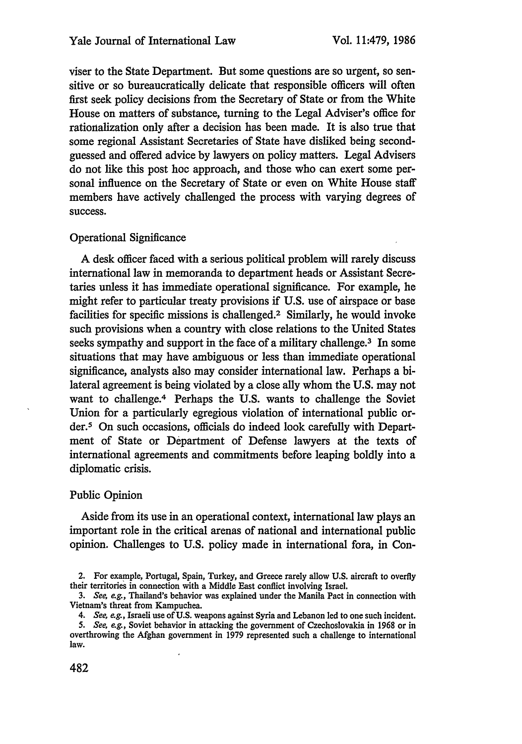viser to the State Department. But some questions are so urgent, so sensitive or so bureaucratically delicate that responsible officers will often first seek policy decisions from the Secretary of State or from the White House on matters of substance, turning to the Legal Adviser's office for rationalization only after a decision has been made. It is also true that some regional Assistant Secretaries of State have disliked being secondguessed and offered advice by lawyers on policy matters. Legal Advisers do not like this post hoe approach, and those who can exert some personal influence on the Secretary of State or even on White House staff members have actively challenged the process with varying degrees of success.

# Operational Significance

A desk officer faced with a serious political problem will rarely discuss international law in memoranda to department heads or Assistant Secretaries unless it has immediate operational significance. For example, he might refer to particular treaty provisions if U.S. use of airspace or base facilities for specific missions is challenged.<sup>2</sup> Similarly, he would invoke such provisions when a country with close relations to the United States seeks sympathy and support in the face of a military challenge.<sup>3</sup> In some situations that may have ambiguous or less than immediate operational significance, analysts also may consider international law. Perhaps a bilateral agreement is being violated by a close ally whom the U.S. may not want to challenge.4 Perhaps the U.S. wants to challenge the Soviet Union for a particularly egregious violation of international public order.5 On such occasions, officials do indeed look carefully with Department of State or Department of Defense lawyers at the texts of international agreements and commitments before leaping boldly into a diplomatic crisis.

# Public Opinion

Aside from its use in an operational context, international law plays an important role in the critical arenas of national and international public opinion. Challenges to U.S. policy made in international fora, in Con-

<sup>2.</sup> For example, Portugal, Spain, Turkey, and Greece rarely allow U.S. aircraft to overfly their territories in connection with a Middle East conflict involving Israel.

*<sup>3.</sup>* See, *e.g.,* Thailand's behavior was explained under the Manila Pact in connection with Vietnam's threat from Kampuchea.

<sup>4.</sup> See, e.g., Israeli use of **U.S.** weapons against Syria and Lebanon led to one such incident.

<sup>5.</sup> See, *e.g.,* Soviet behavior in attacking the government of Czechoslovakia in 1968 or in overthrowing the Afghan government in 1979 represented such a challenge to international law.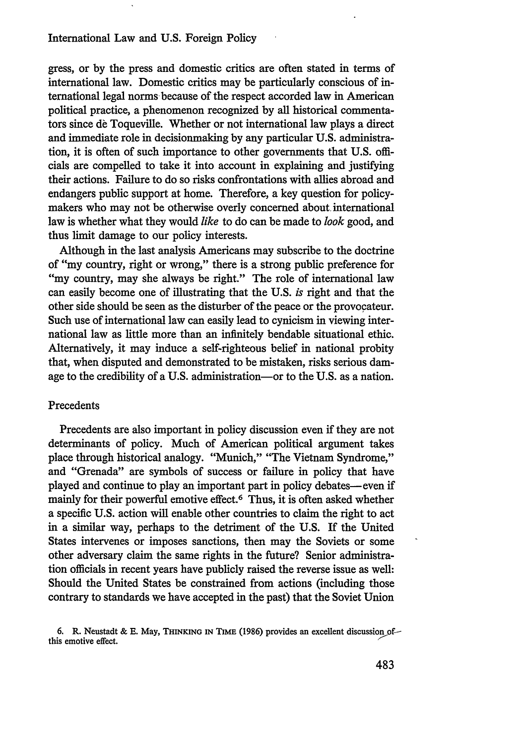gress, or by the press and domestic critics are often stated in terms of international law. Domestic critics may be particularly conscious of international legal norms because of the respect accorded law in American political practice, a phenomenon recognized by all historical commentators since de Toqueville. Whether or not international law plays a direct and immediate role in decisionmaking by any particular U.S. administration, it is often of such importance to other governments that U.S. officials are compelled to take it into account in explaining and justifying their actions. Failure to do so risks confrontations with allies abroad and endangers public support at home. Therefore, a key question for policymakers who may not be otherwise overly concerned about. international law is whether what they would *like* to do can be made to *look* good, and thus limit damage to our policy interests.

Although in the last analysis Americans may subscribe to the doctrine of "my country, right or wrong," there is a strong public preference for "my country, may she always be right." The role of international law can easily become one of illustrating that the U.S. *is* right and that the other side should be seen as the disturber of the peace or the provocateur. Such use of international law can easily lead to cynicism in viewing international law as little more than an infinitely bendable situational ethic. Alternatively, it may induce a self-righteous belief in national probity that, when disputed and demonstrated to be mistaken, risks serious damage to the credibility of a U.S. administration-or to the U.S. as a nation.

#### Precedents

Precedents are also important in policy discussion even if they are not determinants of policy. Much of American political argument takes place through historical analogy. "Munich," "The Vietnam Syndrome," and "Grenada" are symbols of success or failure in policy that have played and continue to play an important part in policy debates- even if mainly for their powerful emotive effect.6 Thus, it is often asked whether a specific U.S. action will enable other countries to claim the right to act in a similar way, perhaps to the detriment of the U.S. If the United States intervenes or imposes sanctions, then may the Soviets or some other adversary claim the same rights in the future? Senior administration officials in recent years have publicly raised the reverse issue as well: Should the United States be constrained from actions (including those contrary to standards we have accepted in the past) that the Soviet Union

**<sup>6.</sup>** R. Neustadt & **E.** May, **THINKING IN TIME** (1986) provides an excellent discussion **of**this emotive effect.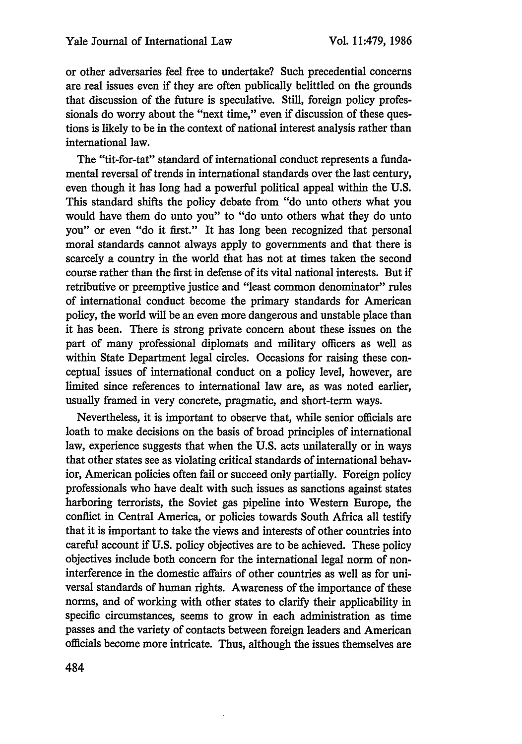or other adversaries feel free to undertake? Such precedential concerns are real issues even if they are often publically belittled on the grounds that discussion of the future is speculative. Still, foreign policy professionals do worry about the "next time," even if discussion of these questions is likely to be in the context of national interest analysis rather than international law.

The "tit-for-tat" standard of international conduct represents a fundamental reversal of trends in international standards over the last century, even though it has long had a powerful political appeal within the U.S. This standard shifts the policy debate from "do unto others what you would have them do unto you" to "do unto others what they do unto you" or even "do it first." It has long been recognized that personal moral standards cannot always apply to governments and that there is scarcely a country in the world that has not at times taken the second course rather than the first in defense of its vital national interests. But if retributive or preemptive justice and "least common denominator" rules of international conduct become the primary standards for American policy, the world will be an even more dangerous and unstable place than it has been. There is strong private concern about these issues on the part of many professional diplomats and military officers as well as within State Department legal circles. Occasions for raising these conceptual issues of international conduct on a policy level, however, are limited since references to international law are, as was noted earlier, usually framed in very concrete, pragmatic, and short-term ways.

Nevertheless, it is important to observe that, while senior officials are loath to make decisions on the basis of broad principles of international law, experience suggests that when the U.S. acts unilaterally or in ways that other states see as violating critical standards of international behavior, American policies often fail or succeed only partially. Foreign policy professionals who have dealt with such issues as sanctions against states harboring terrorists, the Soviet gas pipeline into Western Europe, the conflict in Central America, or policies towards South Africa all testify that it is important to take the views and interests of other countries into careful account if U.S. policy objectives are to be achieved. These policy objectives include both concern for the international legal norm of noninterference in the domestic affairs of other countries as well as for universal standards of human rights. Awareness of the importance of these norms, and of working with other states to clarify their applicability in specific circumstances, seems to grow in each administration as time passes and the variety of contacts between foreign leaders and American officials become more intricate. Thus, although the issues themselves are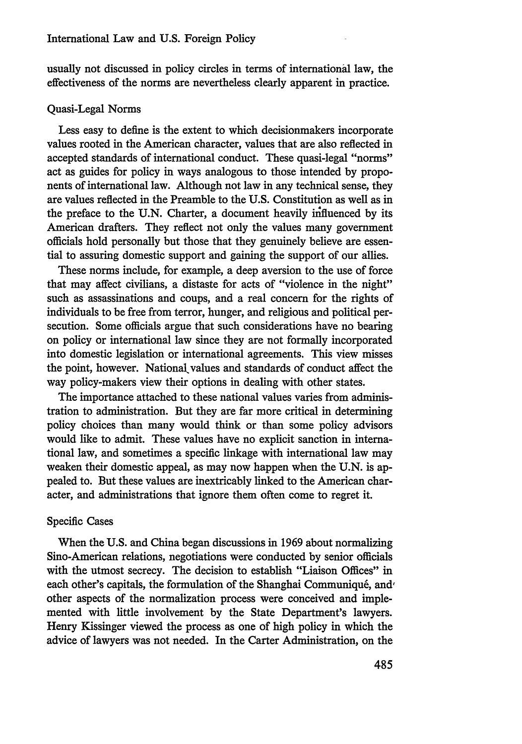usually not discussed in policy circles in terms of international law, the effectiveness of the norms are nevertheless clearly apparent in practice.

#### Quasi-Legal Norms

Less easy to define is the extent to which decisionmakers incorporate values rooted in the American character, values that are also reflected in accepted standards of international conduct. These quasi-legal "norms" act as guides for policy in ways analogous to those intended by proponents of international law. Although not law in any technical sense, they are values reflected in the Preamble to the U.S. Constitution as well as in the preface to the U.N. Charter, a document heavily irfluenced by its American drafters. They reflect not only the values many government officials hold personally but those that they genuinely believe are essential to assuring domestic support and gaining the support of our allies.

These norms include, for example, a deep aversion to the use of force that may affect civilians, a distaste for acts of "violence in the night" such as assassinations and coups, and a real concern for the rights of individuals to be free from terror, hunger, and religious and political persecution. Some officials argue that such considerations have no bearing on policy or international law since they are not formally incorporated into domestic legislation or international agreements. This view misses the point, however. National values and standards of conduct affect the way policy-makers view their options in dealing with other states.

The importance attached to these national values varies from administration to administration. But they are far more critical in determining policy choices than many would think or than some policy advisors would like to admit. These values have no explicit sanction in international law, and sometimes a specific linkage with international law may weaken their domestic appeal, as may now happen when the U.N. is appealed to. But these values are inextricably linked to the American character, and administrations that ignore them often come to regret it.

#### Specific Cases

When the U.S. and China began discussions in 1969 about normalizing Sino-American relations, negotiations were conducted by senior officials with the utmost secrecy. The decision to establish "Liaison Offices" in each other's capitals, the formulation of the Shanghai Communiqué, and other aspects of the normalization process were conceived and implemented with little involvement by the State Department's lawyers. Henry Kissinger viewed the process as one of high policy in which the advice of lawyers was not needed. In the Carter Administration, on the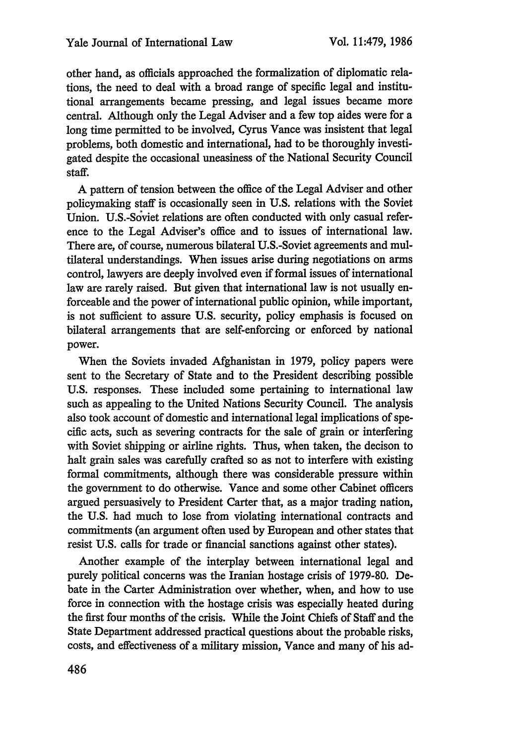other hand, as officials approached the formalization of diplomatic relations, the need to deal with a broad range of specific legal and institutional arrangements became pressing, and legal issues became more central. Although only the Legal Adviser and a few top aides were for a long time permitted to be involved, Cyrus Vance was insistent that legal problems, both domestic and international, had to be thoroughly investigated despite the occasional uneasiness of the National Security Council staff.

A pattern of tension between the office of the Legal Adviser and other policymaking staff is occasionally seen in U.S. relations with the Soviet Union. U.S.-Soviet relations are often conducted with only casual reference to the Legal Adviser's office and to issues of international law. There are, of course, numerous bilateral U.S.-Soviet agreements and multilateral understandings. When issues arise during negotiations on arms control, lawyers are deeply involved even if formal issues of international law are rarely raised. But given that international law is not usually enforceable and the power of international public opinion, while important, is not sufficient to assure U.S. security, policy emphasis is focused on bilateral arrangements that are self-enforcing or enforced by national power.

When the Soviets invaded Afghanistan in 1979, policy papers were sent to the Secretary of State and to the President describing possible U.S. responses. These included some pertaining to international law such as appealing to the United Nations Security Council. The analysis also took account of domestic and international legal implications of specific acts, such as severing contracts for the sale of grain or interfering with Soviet shipping or airline rights. Thus, when taken, the decison to halt grain sales was carefully crafted so as not to interfere with existing formal commitments, although there was considerable pressure within the government to do otherwise. Vance and some other Cabinet officers argued persuasively to President Carter that, as a major trading nation, the U.S. had much to lose from violating international contracts and commitments (an argument often used by European and other states that resist U.S. calls for trade or financial sanctions against other states).

Another example of the interplay between international legal and purely political concerns was the Iranian hostage crisis of 1979-80. Debate in the Carter Administration over whether, when, and how to use force in connection with the hostage crisis was especially heated during the first four months of the crisis. While the Joint Chiefs of Staff and the State Department addressed practical questions about the probable risks, costs, and effectiveness of a military mission, Vance and many of his ad-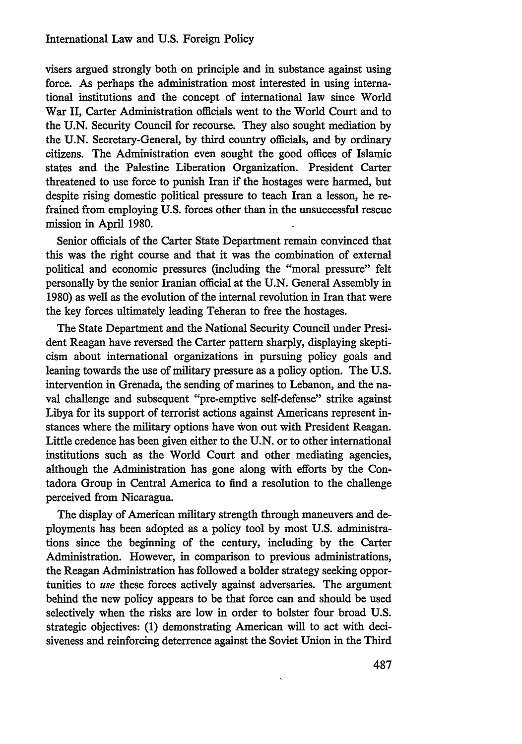visers argued strongly both on principle and in substance against using force. As perhaps the administration most interested in using international institutions and the concept of international law since World War II, Carter Administration officials went to the World Court and to the U.N. Security Council for recourse. They also sought mediation by the U.N. Secretary-General, by third country officials, and by ordinary citizens. The Administration even sought the good offices of Islamic states and the Palestine Liberation Organization. President Carter threatened to use force to punish Iran if the hostages were harmed, but despite rising domestic political pressure to teach Iran a lesson, he refrained from employing U.S. forces other than in the unsuccessful rescue mission in April 1980.

Senior officials of the Carter State Department remain convinced that this was the right course and that it was the combination of external political and economic pressures (including the "moral pressure" felt personally by the senior Iranian official at the U.N. General Assembly in 1980) as well as the evolution of the internal revolution in Iran that were the key forces ultimately leading Teheran to free the hostages.

The State Department and the National Security Council under President Reagan have reversed the Carter pattern sharply, displaying skepticism about international organizations in pursuing policy goals and leaning towards the use of military pressure as a policy option. The U.S. intervention in Grenada, the sending of marines to Lebanon, and the naval challenge and subsequent "pre-emptive self-defense" strike against Libya for its support of terrorist actions against Americans represent instances where the military options have won out with President Reagan. Little credence has been given either to the U.N. or to other international institutions such as the World Court and other mediating agencies, although the Administration has gone along with efforts by the Contadora Group in Central America to find a resolution to the challenge perceived from Nicaragua.

The display of American military strength through maneuvers and deployments has been adopted as a policy tool by most U.S. administrations since the beginning of the century, including by the Carter Administration. However, in comparison to previous administrations, the Reagan Administration has followed a bolder strategy seeking opportunities to *use* these forces actively against adversaries. The argument behind the new policy appears to be that force can and should be used selectively when the risks are low in order to bolster four broad U.S. strategic objectives: (1) demonstrating American will to act with decisiveness and reinforcing deterrence against the Soviet Union in the Third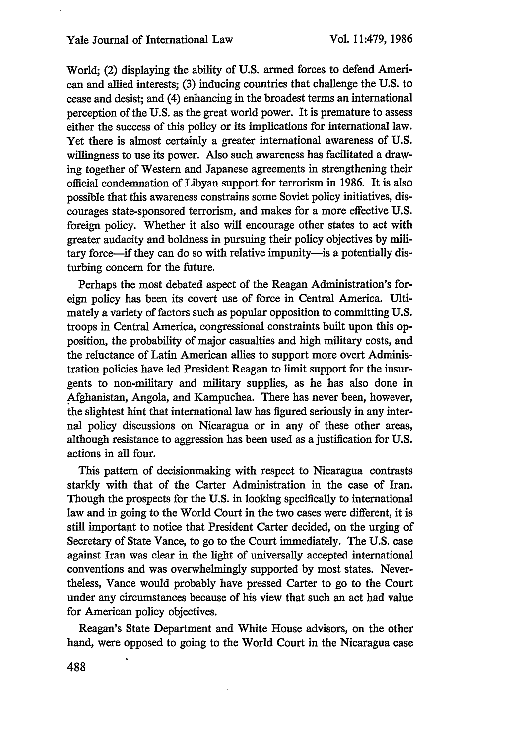World; (2) displaying the ability of U.S. armed forces to defend American and allied interests; (3) inducing countries that challenge the U.S. to cease and desist; and (4) enhancing in the broadest terms an international perception of the U.S. as the great world power. It is premature to assess either the success of this policy or its implications for international law. Yet there is almost certainly a greater international awareness of U.S. willingness to use its power. Also such awareness has facilitated a drawing together of Western and Japanese agreements in strengthening their official condemnation of Libyan support for terrorism in 1986. It is also possible that this awareness constrains some Soviet policy initiatives, discourages state-sponsored terrorism, and makes for a more effective U.S. foreign policy. Whether it also will encourage other states to act with greater audacity and boldness in pursuing their policy objectives by military force—if they can do so with relative impunity—is a potentially disturbing concern for the future.

Perhaps the most debated aspect of the Reagan Administration's foreign policy has been its covert use of force in Central America. Ultimately a variety of factors such as popular opposition to committing U.S. troops in Central America, congressional constraints built upon this opposition, the probability of major casualties and high military costs, and the reluctance of Latin American allies to support more overt Administration policies have led President Reagan to limit support for the insurgents to non-military and military supplies, as he has also done in Afghanistan, Angola, and Kampuchea. There has never been, however, the slightest hint that international law has figured seriously in any internal policy discussions on Nicaragua or in any of these other areas, although resistance to aggression has been used as a justification for U.S. actions in all four.

This pattern of decisionmaking with respect to Nicaragua contrasts starkly with that of the Carter Administration in the case of Iran. Though the prospects for the U.S. in looking specifically to international law and in going to the World Court in the two cases were different, it is still important to notice that President Carter decided, on the urging of Secretary of State Vance, to go to the Court immediately. The U.S. case against Iran was clear in the light of universally accepted international conventions and was overwhelmingly supported by most states. Nevertheless, Vance would probably have pressed Carter to go to the Court under any circumstances because of his view that such an act had value for American policy objectives.

Reagan's State Department and White House advisors, on the other hand, were opposed to going to the World Court in the Nicaragua case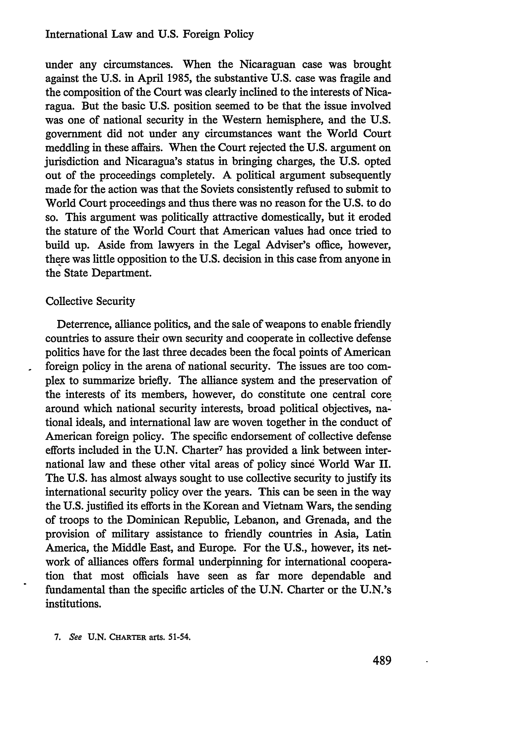under any circumstances. When the Nicaraguan case was brought against the U.S. in April 1985, the substantive U.S. case was fragile and the composition of the Court was clearly inclined to the interests of Nicaragua. But the basic U.S. position seemed to be that the issue involved was one of national security in the Western hemisphere, and the U.S. government did not under any circumstances want the World Court meddling in these affairs. When the Court rejected the U.S. argument on jurisdiction and Nicaragua's status in bringing charges, the U.S. opted out of the proceedings completely. A political argument subsequently made for the action was that the Soviets consistently refused to submit to World Court proceedings and thus there was no reason for the U.S. to do so. This argument was politically attractive domestically, but it eroded the stature of the World Court that American values had once tried to build up. Aside from lawyers in the Legal Adviser's office, however, there was little opposition to the U.S. decision in this case from anyone in the State Department.

# Collective Security

Deterrence, alliance politics, and the sale of weapons to enable friendly countries to assure their own security and cooperate in collective defense politics have for the last three decades been the focal points of American foreign policy in the arena of national security. The issues are too complex to summarize briefly. The alliance system and the preservation of the interests of its members, however, do constitute one central core around which national security interests, broad political objectives, national ideals, and international law are woven together in the conduct of American foreign policy. The specific endorsement of collective defense efforts included in the U.N. Charter<sup>7</sup> has provided a link between international law and these other vital areas of policy since World War II. The U.S. has almost always sought to use collective security to justify its international security policy over the years. This can be seen in the way the U.S. justified its efforts in the Korean and Vietnam Wars, the sending of troops to the Dominican Republic, Lebanon, and Grenada, and the provision of military assistance to friendly countries in Asia, Latin America, the Middle East, and Europe. For the U.S., however, its network of alliances offers formal underpinning for international cooperation that most officials have seen as far more dependable and fundamental than the specific articles of the U.N. Charter or the U.N.'s institutions.

**7.** See **U.N. CHARTER** arts. 51-54.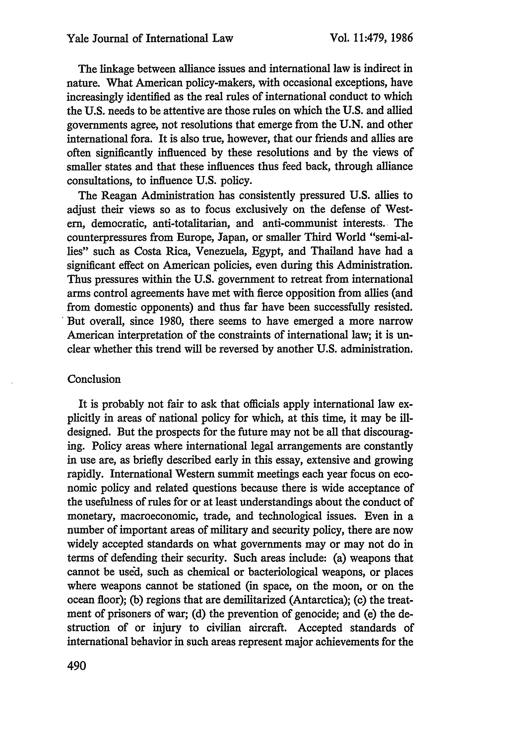The linkage between alliance issues and international law is indirect in nature. What American policy-makers, with occasional exceptions, have increasingly identified as the real rules of international conduct to which the U.S. needs to be attentive are those rules on which the U.S. and allied governments agree, not resolutions that emerge from the U.N. and other international fora. It is also true, however, that our friends and allies are often significantly influenced by these resolutions and by the views of smaller states and that these influences thus feed back, through alliance consultations, to influence U.S. policy.

The Reagan Administration has consistently pressured U.S. allies to adjust their views so as to focus exclusively on the defense of Western, democratic, anti-totalitarian, and anti-communist interests., The counterpressures from Europe, Japan, or smaller Third World "semi-allies" such as Costa Rica, Venezuela, Egypt, and Thailand have had a significant effect on American policies, even during this Administration. Thus pressures within the U.S. government to retreat from international arms control agreements have met with fierce opposition from allies (and from domestic opponents) and thus far have been successfully resisted. But overall, since 1980, there seems to have emerged a more narrow American interpretation of the constraints of international law; it is unclear whether this trend will be reversed by another U.S. administration.

# Conclusion

It is probably not fair to ask that officials apply international law explicitly in areas of national policy for which, at this time, it may be illdesigned. But the prospects for the future may not be all that discouraging. Policy areas where international legal arrangements are constantly in use are, as briefly described early in this essay, extensive and growing rapidly. International Western summit meetings each year focus on economic policy and related questions because there is wide acceptance of the usefulness of rules for or at least understandings about the conduct of monetary, macroeconomic, trade, and technological issues. Even in a number of important areas of military and security policy, there are now widely accepted standards on what governments may or may not do in terms of defending their security. Such areas include: (a) weapons that cannot be used, such as chemical or bacteriological weapons, or places where weapons cannot be stationed (in space, on the moon, or on the ocean floor); (b) regions that are demilitarized (Antarctica); **(c)** the treatment of prisoners of war; (d) the prevention of genocide; and (e) the destruction of or injury to civilian aircraft. Accepted standards of international behavior in such areas represent major achievements for the